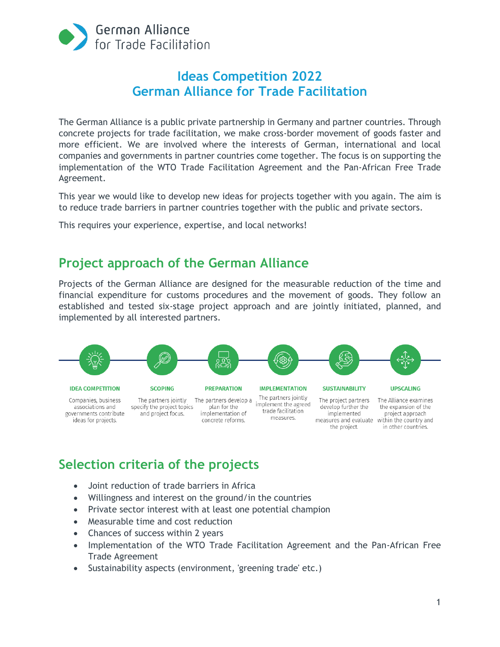

# **Ideas Competition 2022 German Alliance for Trade Facilitation**

The German Alliance is a public private partnership in Germany and partner countries. Through concrete projects for trade facilitation, we make cross-border movement of goods faster and more efficient. We are involved where the interests of German, international and local companies and governments in partner countries come together. The focus is on supporting the implementation of the WTO Trade Facilitation Agreement and the Pan-African Free Trade Agreement.

This year we would like to develop new ideas for projects together with you again. The aim is to reduce trade barriers in partner countries together with the public and private sectors.

This requires your experience, expertise, and local networks!

## **Project approach of the German Alliance**

Projects of the German Alliance are designed for the measurable reduction of the time and financial expenditure for customs procedures and the movement of goods. They follow an established and tested six-stage project approach and are jointly initiated, planned, and implemented by all interested partners.



# **Selection criteria of the projects**

- Joint reduction of trade barriers in Africa
- Willingness and interest on the ground/in the countries
- Private sector interest with at least one potential champion
- Measurable time and cost reduction
- Chances of success within 2 years
- Implementation of the WTO Trade Facilitation Agreement and the Pan-African Free Trade Agreement
- Sustainability aspects (environment, 'greening trade' etc.)